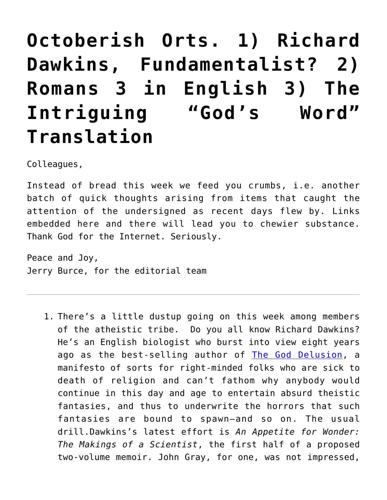## **[Octoberish Orts. 1\) Richard](https://crossings.org/thursday-theology-836/) [Dawkins, Fundamentalist? 2\)](https://crossings.org/thursday-theology-836/) [Romans 3 in English 3\) The](https://crossings.org/thursday-theology-836/) [Intriguing "God's Word"](https://crossings.org/thursday-theology-836/) [Translation](https://crossings.org/thursday-theology-836/)**

Colleagues,

Instead of bread this week we feed you crumbs, i.e. another batch of quick thoughts arising from items that caught the attention of the undersigned as recent days flew by. Links embedded here and there will lead you to chewier substance. Thank God for the Internet. Seriously.

Peace and Joy, Jerry Burce, for the editorial team

1. There's a little dustup going on this week among members of the atheistic tribe. Do you all know Richard Dawkins? He's an English biologist who burst into view eight years ago as the best-selling author of [The God Delusion](http://en.wikipedia.org/wiki/The_God_Delusion), a manifesto of sorts for right-minded folks who are sick to death of religion and can't fathom why anybody would continue in this day and age to entertain absurd theistic fantasies, and thus to underwrite the horrors that such fantasies are bound to spawn—and so on. The usual drill.Dawkins's latest effort is *An Appetite for Wonder: The Makings of a Scientist*, the first half of a proposed two-volume memoir. John Gray, for one, was not impressed,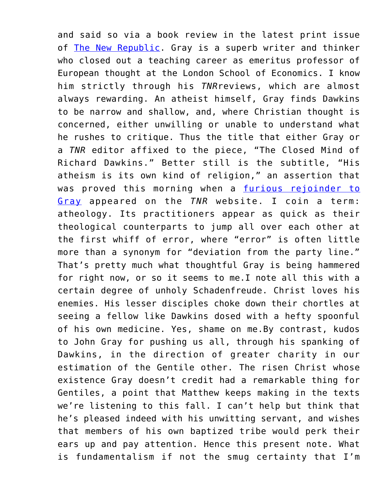and said so via a book review in the latest print issue of [The New Republic](http://www.newrepublic.com/article/119596/appetite-wonder-review-closed-mind-richard-dawkins). Gray is a superb writer and thinker who closed out a teaching career as emeritus professor of European thought at the London School of Economics. I know him strictly through his *TNR*reviews, which are almost always rewarding. An atheist himself, Gray finds Dawkins to be narrow and shallow, and, where Christian thought is concerned, either unwilling or unable to understand what he rushes to critique. Thus the title that either Gray or a *TNR* editor affixed to the piece, "The Closed Mind of Richard Dawkins." Better still is the subtitle, "His atheism is its own kind of religion," an assertion that was proved this morning when a [furious rejoinder to](http://www.newrepublic.com/article/119774/john-grays-richard-hawkins-takedown-ignores-appetite-wonder) [Gray](http://www.newrepublic.com/article/119774/john-grays-richard-hawkins-takedown-ignores-appetite-wonder) appeared on the *TNR* website. I coin a term: atheology. Its practitioners appear as quick as their theological counterparts to jump all over each other at the first whiff of error, where "error" is often little more than a synonym for "deviation from the party line." That's pretty much what thoughtful Gray is being hammered for right now, or so it seems to me.I note all this with a certain degree of unholy Schadenfreude. Christ loves his enemies. His lesser disciples choke down their chortles at seeing a fellow like Dawkins dosed with a hefty spoonful of his own medicine. Yes, shame on me.By contrast, kudos to John Gray for pushing us all, through his spanking of Dawkins, in the direction of greater charity in our estimation of the Gentile other. The risen Christ whose existence Gray doesn't credit had a remarkable thing for Gentiles, a point that Matthew keeps making in the texts we're listening to this fall. I can't help but think that he's pleased indeed with his unwitting servant, and wishes that members of his own baptized tribe would perk their ears up and pay attention. Hence this present note. What is fundamentalism if not the smug certainty that I'm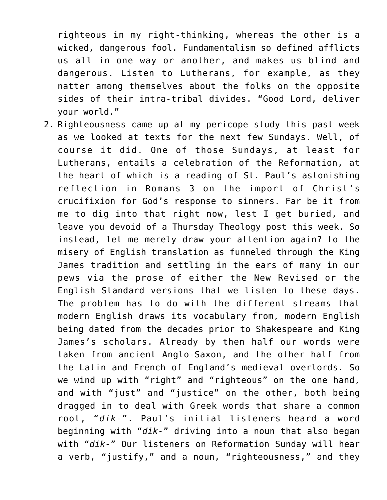righteous in my right-thinking, whereas the other is a wicked, dangerous fool. Fundamentalism so defined afflicts us all in one way or another, and makes us blind and dangerous. Listen to Lutherans, for example, as they natter among themselves about the folks on the opposite sides of their intra-tribal divides. "Good Lord, deliver your world."

2. Righteousness came up at my pericope study this past week as we looked at texts for the next few Sundays. Well, of course it did. One of those Sundays, at least for Lutherans, entails a celebration of the Reformation, at the heart of which is a reading of St. Paul's astonishing reflection in Romans 3 on the import of Christ's crucifixion for God's response to sinners. Far be it from me to dig into that right now, lest I get buried, and leave you devoid of a Thursday Theology post this week. So instead, let me merely draw your attention—again?—to the misery of English translation as funneled through the King James tradition and settling in the ears of many in our pews via the prose of either the New Revised or the English Standard versions that we listen to these days. The problem has to do with the different streams that modern English draws its vocabulary from, modern English being dated from the decades prior to Shakespeare and King James's scholars. Already by then half our words were taken from ancient Anglo-Saxon, and the other half from the Latin and French of England's medieval overlords. So we wind up with "right" and "righteous" on the one hand, and with "just" and "justice" on the other, both being dragged in to deal with Greek words that share a common root, "*dik-*". Paul's initial listeners heard a word beginning with "*dik-*" driving into a noun that also began with "*dik-*" Our listeners on Reformation Sunday will hear a verb, "justify," and a noun, "righteousness," and they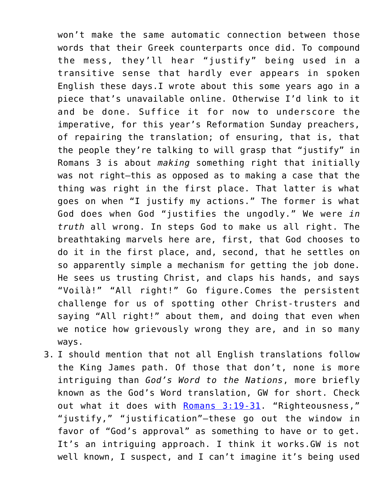won't make the same automatic connection between those words that their Greek counterparts once did. To compound the mess, they'll hear "justify" being used in a transitive sense that hardly ever appears in spoken English these days.I wrote about this some years ago in a piece that's unavailable online. Otherwise I'd link to it and be done. Suffice it for now to underscore the imperative, for this year's Reformation Sunday preachers, of repairing the translation; of ensuring, that is, that the people they're talking to will grasp that "justify" in Romans 3 is about *making* something right that initially was not right—this as opposed as to making a case that the thing was right in the first place. That latter is what goes on when "I justify my actions." The former is what God does when God "justifies the ungodly." We were *in truth* all wrong. In steps God to make us all right. The breathtaking marvels here are, first, that God chooses to do it in the first place, and, second, that he settles on so apparently simple a mechanism for getting the job done. He sees us trusting Christ, and claps his hands, and says "Voilà!" "All right!" Go figure.Comes the persistent challenge for us of spotting other Christ-trusters and saying "All right!" about them, and doing that even when we notice how grievously wrong they are, and in so many ways.

3. I should mention that not all English translations follow the King James path. Of those that don't, none is more intriguing than *God's Word to the Nations*, more briefly known as the God's Word translation, GW for short. Check out what it does with [Romans 3:19-31.](https://www.biblegateway.com/passage/?search=Romans+3%3A19-31&version=GW) "Righteousness," "justify," "justification"—these go out the window in favor of "God's approval" as something to have or to get. It's an intriguing approach. I think it works.GW is not well known, I suspect, and I can't imagine it's being used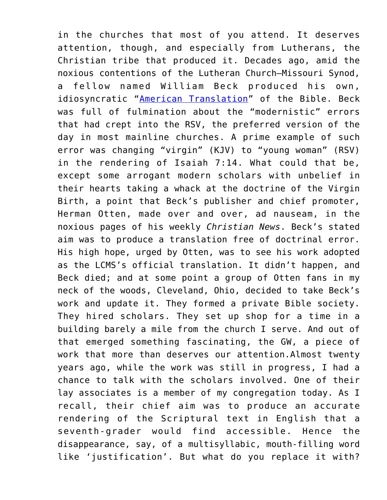in the churches that most of you attend. It deserves attention, though, and especially from Lutherans, the Christian tribe that produced it. Decades ago, amid the noxious contentions of the Lutheran Church—Missouri Synod, a fellow named William Beck produced his own, idiosyncratic "[American Translation"](http://en.wikipedia.org/wiki/Beck%27s_American_Translation) of the Bible. Beck was full of fulmination about the "modernistic" errors that had crept into the RSV, the preferred version of the day in most mainline churches. A prime example of such error was changing "virgin" (KJV) to "young woman" (RSV) in the rendering of Isaiah 7:14. What could that be, except some arrogant modern scholars with unbelief in their hearts taking a whack at the doctrine of the Virgin Birth, a point that Beck's publisher and chief promoter, Herman Otten, made over and over, ad nauseam, in the noxious pages of his weekly *Christian News*. Beck's stated aim was to produce a translation free of doctrinal error. His high hope, urged by Otten, was to see his work adopted as the LCMS's official translation. It didn't happen, and Beck died; and at some point a group of Otten fans in my neck of the woods, Cleveland, Ohio, decided to take Beck's work and update it. They formed a private Bible society. They hired scholars. They set up shop for a time in a building barely a mile from the church I serve. And out of that emerged something fascinating, the GW, a piece of work that more than deserves our attention.Almost twenty years ago, while the work was still in progress, I had a chance to talk with the scholars involved. One of their lay associates is a member of my congregation today. As I recall, their chief aim was to produce an accurate rendering of the Scriptural text in English that a seventh-grader would find accessible. Hence the disappearance, say, of a multisyllabic, mouth-filling word like 'justification'. But what do you replace it with?